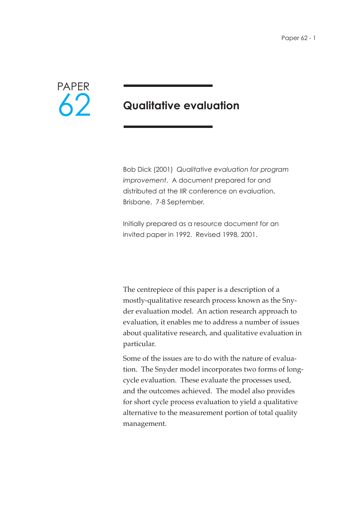

## **Qualitative evaluation**

Bob Dick (2001) *Qualitative evaluation for program improvement*. A document prepared for and distributed at the IIR conference on evaluation, Brisbane, 7-8 September.

Initially prepared as a resource document for an invited paper in 1992. Revised 1998, 2001.

The centrepiece of this paper is a description of a mostly-qualitative research process known as the Snyder evaluation model. An action research approach to evaluation, it enables me to address a number of issues about qualitative research, and qualitative evaluation in particular.

Some of the issues are to do with the nature of evaluation. The Snyder model incorporates two forms of longcycle evaluation. These evaluate the processes used, and the outcomes achieved. The model also provides for short cycle process evaluation to yield a qualitative alternative to the measurement portion of total quality management.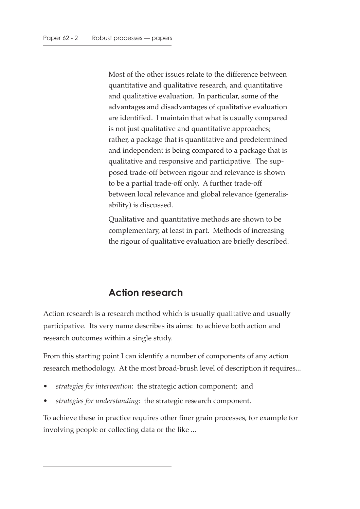Most of the other issues relate to the difference between quantitative and qualitative research, and quantitative and qualitative evaluation. In particular, some of the advantages and disadvantages of qualitative evaluation are identified. I maintain that what is usually compared is not just qualitative and quantitative approaches; rather, a package that is quantitative and predetermined and independent is being compared to a package that is qualitative and responsive and participative. The supposed trade-off between rigour and relevance is shown to be a partial trade-off only. A further trade-off between local relevance and global relevance (generalisability) is discussed.

Qualitative and quantitative methods are shown to be complementary, at least in part. Methods of increasing the rigour of qualitative evaluation are briefly described.

## **Action research**

Action research is a research method which is usually qualitative and usually participative. Its very name describes its aims: to achieve both action and research outcomes within a single study.

From this starting point I can identify a number of components of any action research methodology. At the most broad-brush level of description it requires...

- *strategies for intervention*: the strategic action component; and
- *strategies for understanding*: the strategic research component.

To achieve these in practice requires other finer grain processes, for example for involving people or collecting data or the like ...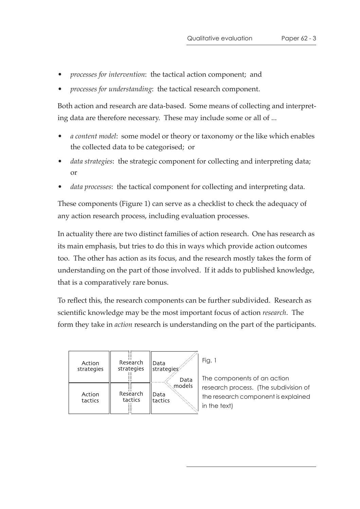- *processes for intervention*: the tactical action component; and
- *processes for understanding*: the tactical research component.

Both action and research are data-based. Some means of collecting and interpreting data are therefore necessary. These may include some or all of ...

- *a content model*: some model or theory or taxonomy or the like which enables the collected data to be categorised; or
- *data strategies*: the strategic component for collecting and interpreting data; or
- *data processes*: the tactical component for collecting and interpreting data.

These components (Figure 1) can serve as a checklist to check the adequacy of any action research process, including evaluation processes.

In actuality there are two distinct families of action research. One has research as its main emphasis, but tries to do this in ways which provide action outcomes too. The other has action as its focus, and the research mostly takes the form of understanding on the part of those involved. If it adds to published knowledge, that is a comparatively rare bonus.

To reflect this, the research components can be further subdivided. Research as scientific knowledge may be the most important focus of action *research*. The form they take in *action* research is understanding on the part of the participants.

| Action            | Research            | Data                              | Fi             |
|-------------------|---------------------|-----------------------------------|----------------|
| strategies        | strategies          | strategies                        | Tł             |
| Action<br>tactics | Research<br>tactics | Data<br>models<br>Data<br>tactics | r€<br>tŀ<br>in |

ig. 1

ne components of an action esearch process. (The subdivision of he research component is explained the text)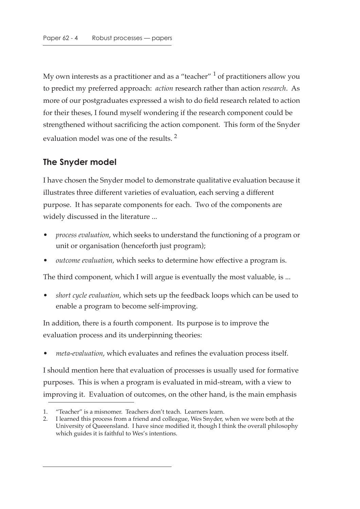My own interests as a practitioner and as a "teacher"  $\frac{1}{1}$  of practitioners allow you to predict my preferred approach: *action* research rather than action *research*. As more of our postgraduates expressed a wish to do field research related to action for their theses, I found myself wondering if the research component could be strengthened without sacrificing the action component. This form of the Snyder evaluation model was one of the results.<sup>2</sup>

### **The Snyder model**

I have chosen the Snyder model to demonstrate qualitative evaluation because it illustrates three different varieties of evaluation, each serving a different purpose. It has separate components for each. Two of the components are widely discussed in the literature ...

- *process evaluation*, which seeks to understand the functioning of a program or unit or organisation (henceforth just program);
- *outcome evaluation*, which seeks to determine how effective a program is.

The third component, which I will argue is eventually the most valuable, is ...

• *short cycle evaluation*, which sets up the feedback loops which can be used to enable a program to become self-improving.

In addition, there is a fourth component. Its purpose is to improve the evaluation process and its underpinning theories:

• *meta-evaluation*, which evaluates and refines the evaluation process itself.

I should mention here that evaluation of processes is usually used for formative purposes. This is when a program is evaluated in mid-stream, with a view to improving it. Evaluation of outcomes, on the other hand, is the main emphasis

<sup>1. &</sup>quot;Teacher" is a misnomer. Teachers don't teach. Learners learn.

<sup>2.</sup> I learned this process from a friend and colleague, Wes Snyder, when we were both at the University of Queeensland. I have since modified it, though I think the overall philosophy which guides it is faithful to Wes's intentions.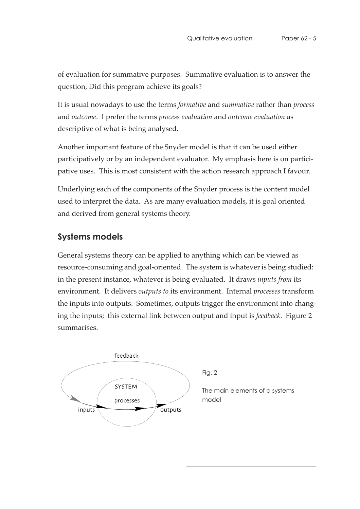of evaluation for summative purposes. Summative evaluation is to answer the question, Did this program achieve its goals?

It is usual nowadays to use the terms *formative* and *summative* rather than *process* and *outcome*. I prefer the terms *process evaluation* and *outcome evaluation* as descriptive of what is being analysed.

Another important feature of the Snyder model is that it can be used either participatively or by an independent evaluator. My emphasis here is on participative uses. This is most consistent with the action research approach I favour.

Underlying each of the components of the Snyder process is the content model used to interpret the data. As are many evaluation models, it is goal oriented and derived from general systems theory.

#### **Systems models**

General systems theory can be applied to anything which can be viewed as resource-consuming and goal-oriented. The system is whatever is being studied: in the present instance, whatever is being evaluated. It draws *inputs from* its environment. It delivers *outputs to* its environment. Internal *processes* transform the inputs into outputs. Sometimes, outputs trigger the environment into changing the inputs; this external link between output and input is *feedback*. Figure 2 summarises.



Fig. 2

The main elements of a systems model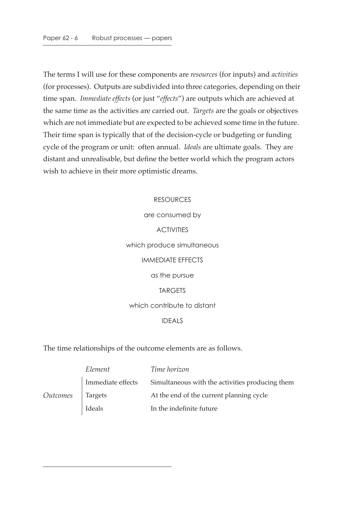The terms I will use for these components are *resources* (for inputs) and *activities* (for processes). Outputs are subdivided into three categories, depending on their time span. *Immediate effects* (or just "*effects*") are outputs which are achieved at the same time as the activities are carried out. *Targets* are the goals or objectives which are not immediate but are expected to be achieved some time in the future. Their time span is typically that of the decision-cycle or budgeting or funding cycle of the program or unit: often annual. *Ideals* are ultimate goals. They are distant and unrealisable, but define the better world which the program actors wish to achieve in their more optimistic dreams.

# RESOURCES are consumed by **ACTIVITIES** which produce simultaneous IMMEDIATE EFFECTS as the pursue **TARGETS** which contribute to distant IDEALS

#### The time relationships of the outcome elements are as follows.

|          | Element           | Time horizon                                    |
|----------|-------------------|-------------------------------------------------|
|          | Immediate effects | Simultaneous with the activities producing them |
| Outcomes | Targets           | At the end of the current planning cycle        |
|          | Ideals            | In the indefinite future                        |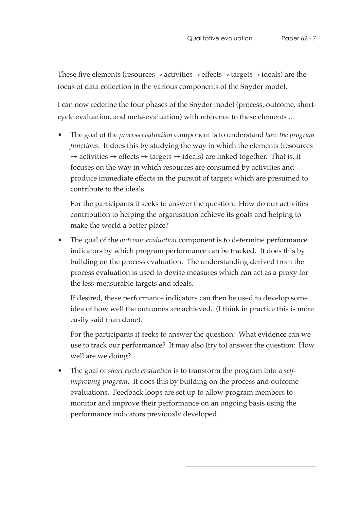These five elements (resources  $\rightarrow$  activities  $\rightarrow$  effects  $\rightarrow$  targets  $\rightarrow$  ideals) are the focus of data collection in the various components of the Snyder model.

I can now redefine the four phases of the Snyder model (process, outcome, shortcycle evaluation, and meta-evaluation) with reference to these elements ...

• The goal of the *process evaluation* component is to understand *how the program functions*. It does this by studying the way in which the elements (resources  $\rightarrow$  activities  $\rightarrow$  effects  $\rightarrow$  targets  $\rightarrow$  ideals) are linked together. That is, it focuses on the way in which resources are consumed by activities and produce immediate effects in the pursuit of targets which are presumed to contribute to the ideals.

For the participants it seeks to answer the question: How do our activities contribution to helping the organisation achieve its goals and helping to make the world a better place?

• The goal of the *outcome evaluation* component is to determine performance indicators by which program performance can be tracked. It does this by building on the process evaluation. The understanding derived from the process evaluation is used to devise measures which can act as a proxy for the less-measurable targets and ideals.

If desired, these performance indicators can then be used to develop some idea of how well the outcomes are achieved. (I think in practice this is more easily said than done).

For the participants it seeks to answer the question: What evidence can we use to track our performance? It may also (try to) answer the question: How well are we doing?

• The goal of *short cycle evaluation* is to transform the program into a *selfimproving program*. It does this by building on the process and outcome evaluations. Feedback loops are set up to allow program members to monitor and improve their performance on an ongoing basis using the performance indicators previously developed.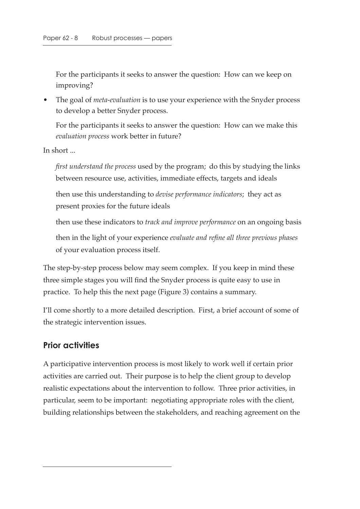For the participants it seeks to answer the question: How can we keep on improving?

• The goal of *meta-evaluation* is to use your experience with the Snyder process to develop a better Snyder process.

For the participants it seeks to answer the question: How can we make this *evaluation process* work better in future?

In short ...

*first understand the process* used by the program; do this by studying the links between resource use, activities, immediate effects, targets and ideals

then use this understanding to *devise performance indicators*; they act as present proxies for the future ideals

then use these indicators to *track and improve performance* on an ongoing basis

then in the light of your experience *evaluate and refine all three previous phases* of your evaluation process itself.

The step-by-step process below may seem complex. If you keep in mind these three simple stages you will find the Snyder process is quite easy to use in practice. To help this the next page (Figure 3) contains a summary.

I'll come shortly to a more detailed description. First, a brief account of some of the strategic intervention issues.

### **Prior activities**

A participative intervention process is most likely to work well if certain prior activities are carried out. Their purpose is to help the client group to develop realistic expectations about the intervention to follow. Three prior activities, in particular, seem to be important: negotiating appropriate roles with the client, building relationships between the stakeholders, and reaching agreement on the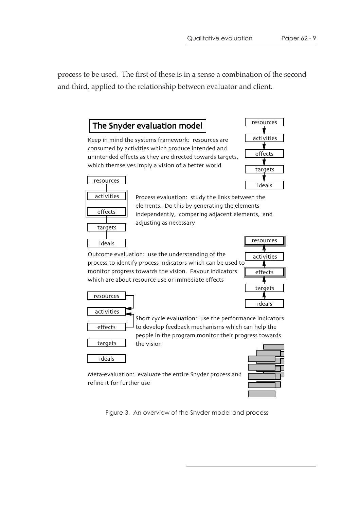process to be used. The first of these is in a sense a combination of the second and third, applied to the relationship between evaluator and client.

### The Snyder evaluation model

Keep in mind the systems framework: resources are consumed by activities which produce intended and unintended effects as they are directed towards targets, which themselves imply a vision of a better world



| resources  |   |  |
|------------|---|--|
|            |   |  |
| activities |   |  |
|            |   |  |
| effects    |   |  |
|            |   |  |
| targets    |   |  |
|            |   |  |
| ideals     |   |  |
| . .        | ı |  |

Process evaluation: study the links between the elements. Do this by generating the elements independently, comparing adjacent elements, and adjusting as necessary

Outcome evaluation: use the understanding of the process to identify process indicators which can be used to monitor progress towards the vision. Favour indicators which are about resource use or immediate effects



resources activities effects targets ideals

Short cycle evaluation: use the performance indicators to develop feedback mechanisms which can help the people in the program monitor their progress towards the vision

Meta-evaluation: evaluate the entire Snyder process and



refine it for further use

Figure 3. An overview of the Snyder model and process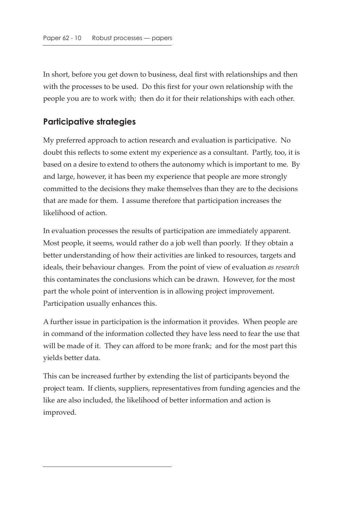In short, before you get down to business, deal first with relationships and then with the processes to be used. Do this first for your own relationship with the people you are to work with; then do it for their relationships with each other.

### **Participative strategies**

My preferred approach to action research and evaluation is participative. No doubt this reflects to some extent my experience as a consultant. Partly, too, it is based on a desire to extend to others the autonomy which is important to me. By and large, however, it has been my experience that people are more strongly committed to the decisions they make themselves than they are to the decisions that are made for them. I assume therefore that participation increases the likelihood of action.

In evaluation processes the results of participation are immediately apparent. Most people, it seems, would rather do a job well than poorly. If they obtain a better understanding of how their activities are linked to resources, targets and ideals, their behaviour changes. From the point of view of evaluation *as research* this contaminates the conclusions which can be drawn. However, for the most part the whole point of intervention is in allowing project improvement. Participation usually enhances this.

A further issue in participation is the information it provides. When people are in command of the information collected they have less need to fear the use that will be made of it. They can afford to be more frank; and for the most part this yields better data.

This can be increased further by extending the list of participants beyond the project team. If clients, suppliers, representatives from funding agencies and the like are also included, the likelihood of better information and action is improved.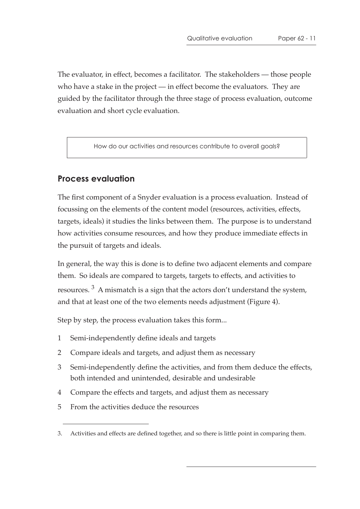The evaluator, in effect, becomes a facilitator. The stakeholders — those people who have a stake in the project — in effect become the evaluators. They are guided by the facilitator through the three stage of process evaluation, outcome evaluation and short cycle evaluation.

How do our activities and resources contribute to overall goals?

### **Process evaluation**

The first component of a Snyder evaluation is a process evaluation. Instead of focussing on the elements of the content model (resources, activities, effects, targets, ideals) it studies the links between them. The purpose is to understand how activities consume resources, and how they produce immediate effects in the pursuit of targets and ideals.

In general, the way this is done is to define two adjacent elements and compare them. So ideals are compared to targets, targets to effects, and activities to resources.  $3$  A mismatch is a sign that the actors don't understand the system, and that at least one of the two elements needs adjustment (Figure 4).

Step by step, the process evaluation takes this form...

- 1 Semi-independently define ideals and targets
- 2 Compare ideals and targets, and adjust them as necessary
- 3 Semi-independently define the activities, and from them deduce the effects, both intended and unintended, desirable and undesirable
- 4 Compare the effects and targets, and adjust them as necessary
- 5 From the activities deduce the resources

<sup>3.</sup> Activities and effects are defined together, and so there is little point in comparing them.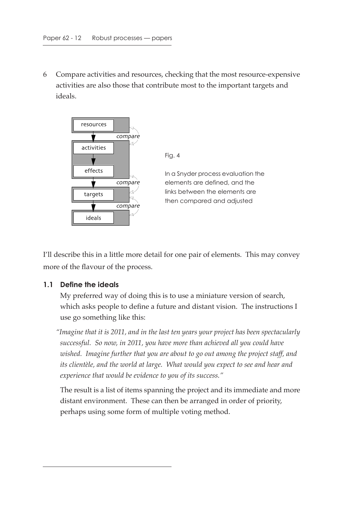6 Compare activities and resources, checking that the most resource-expensive activities are also those that contribute most to the important targets and ideals.



I'll describe this in a little more detail for one pair of elements. This may convey more of the flavour of the process.

#### **1.1 Define the ideals**

My preferred way of doing this is to use a miniature version of search, which asks people to define a future and distant vision. The instructions I use go something like this:

*"Imagine that it is 2011, and in the last ten years your project has been spectacularly successful. So now, in 2011, you have more than achieved all you could have wished. Imagine further that you are about to go out among the project staff, and*  its clientèle, and the world at large. What would you expect to see and hear and *experience that would be evidence to you of its success."*

The result is a list of items spanning the project and its immediate and more distant environment. These can then be arranged in order of priority, perhaps using some form of multiple voting method.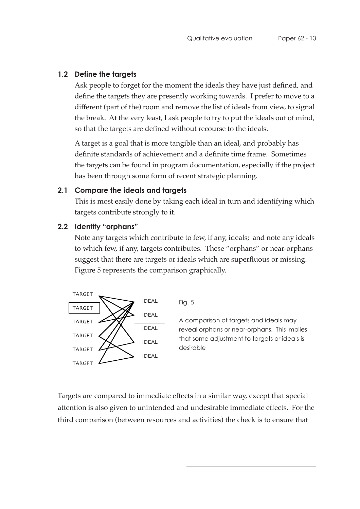#### **1.2 Define the targets**

Ask people to forget for the moment the ideals they have just defined, and define the targets they are presently working towards. I prefer to move to a different (part of the) room and remove the list of ideals from view, to signal the break. At the very least, I ask people to try to put the ideals out of mind, so that the targets are defined without recourse to the ideals.

A target is a goal that is more tangible than an ideal, and probably has definite standards of achievement and a definite time frame. Sometimes the targets can be found in program documentation, especially if the project has been through some form of recent strategic planning.

#### **2.1 Compare the ideals and targets**

This is most easily done by taking each ideal in turn and identifying which targets contribute strongly to it.

#### **2.2 Identify "orphans"**

Note any targets which contribute to few, if any, ideals; and note any ideals to which few, if any, targets contributes. These "orphans" or near-orphans suggest that there are targets or ideals which are superfluous or missing. Figure 5 represents the comparison graphically.



Fig. 5

A comparison of targets and ideals may reveal orphans or near-orphans. This implies that some adjustment to targets or ideals is desirable

Targets are compared to immediate effects in a similar way, except that special attention is also given to unintended and undesirable immediate effects. For the third comparison (between resources and activities) the check is to ensure that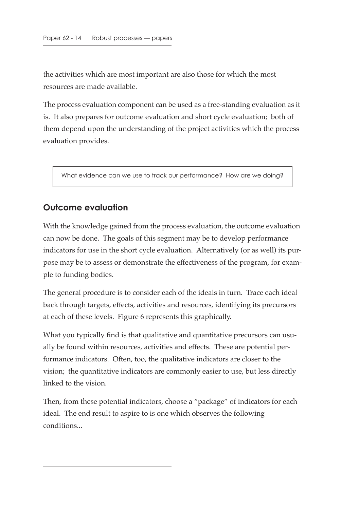the activities which are most important are also those for which the most resources are made available.

The process evaluation component can be used as a free-standing evaluation as it is. It also prepares for outcome evaluation and short cycle evaluation; both of them depend upon the understanding of the project activities which the process evaluation provides.

What evidence can we use to track our performance? How are we doing?

### **Outcome evaluation**

With the knowledge gained from the process evaluation, the outcome evaluation can now be done. The goals of this segment may be to develop performance indicators for use in the short cycle evaluation. Alternatively (or as well) its purpose may be to assess or demonstrate the effectiveness of the program, for example to funding bodies.

The general procedure is to consider each of the ideals in turn. Trace each ideal back through targets, effects, activities and resources, identifying its precursors at each of these levels. Figure 6 represents this graphically.

What you typically find is that qualitative and quantitative precursors can usually be found within resources, activities and effects. These are potential performance indicators. Often, too, the qualitative indicators are closer to the vision; the quantitative indicators are commonly easier to use, but less directly linked to the vision.

Then, from these potential indicators, choose a "package" of indicators for each ideal. The end result to aspire to is one which observes the following conditions...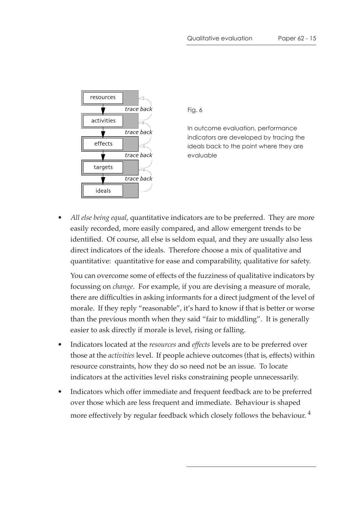

Fig. 6

In outcome evaluation, performance indicators are developed by tracing the ideals back to the point where they are evaluable

• *All else being equal*, quantitative indicators are to be preferred. They are more easily recorded, more easily compared, and allow emergent trends to be identified. Of course, all else is seldom equal, and they are usually also less direct indicators of the ideals. Therefore choose a mix of qualitative and quantitative: quantitative for ease and comparability, qualitative for safety.

You can overcome some of effects of the fuzziness of qualitative indicators by focussing on *change*. For example, if you are devising a measure of morale, there are difficulties in asking informants for a direct judgment of the level of morale. If they reply "reasonable", it's hard to know if that is better or worse than the previous month when they said "fair to middling". It is generally easier to ask directly if morale is level, rising or falling.

- Indicators located at the *resources* and *effects* levels are to be preferred over those at the *activities* level. If people achieve outcomes (that is, effects) within resource constraints, how they do so need not be an issue. To locate indicators at the activities level risks constraining people unnecessarily.
- Indicators which offer immediate and frequent feedback are to be preferred over those which are less frequent and immediate. Behaviour is shaped more effectively by regular feedback which closely follows the behaviour.<sup>4</sup>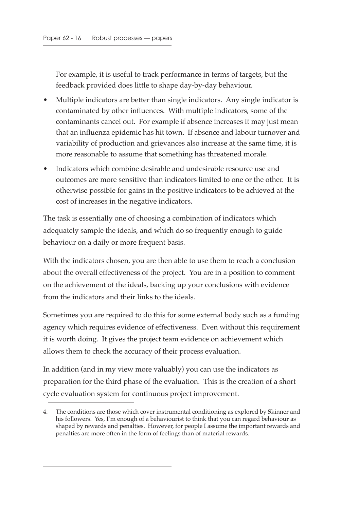For example, it is useful to track performance in terms of targets, but the feedback provided does little to shape day-by-day behaviour.

- Multiple indicators are better than single indicators. Any single indicator is contaminated by other influences. With multiple indicators, some of the contaminants cancel out. For example if absence increases it may just mean that an influenza epidemic has hit town. If absence and labour turnover and variability of production and grievances also increase at the same time, it is more reasonable to assume that something has threatened morale.
- Indicators which combine desirable and undesirable resource use and outcomes are more sensitive than indicators limited to one or the other. It is otherwise possible for gains in the positive indicators to be achieved at the cost of increases in the negative indicators.

The task is essentially one of choosing a combination of indicators which adequately sample the ideals, and which do so frequently enough to guide behaviour on a daily or more frequent basis.

With the indicators chosen, you are then able to use them to reach a conclusion about the overall effectiveness of the project. You are in a position to comment on the achievement of the ideals, backing up your conclusions with evidence from the indicators and their links to the ideals.

Sometimes you are required to do this for some external body such as a funding agency which requires evidence of effectiveness. Even without this requirement it is worth doing. It gives the project team evidence on achievement which allows them to check the accuracy of their process evaluation.

In addition (and in my view more valuably) you can use the indicators as preparation for the third phase of the evaluation. This is the creation of a short cycle evaluation system for continuous project improvement.

<sup>4.</sup> The conditions are those which cover instrumental conditioning as explored by Skinner and his followers. Yes, I'm enough of a behaviourist to think that you can regard behaviour as shaped by rewards and penalties. However, for people I assume the important rewards and penalties are more often in the form of feelings than of material rewards.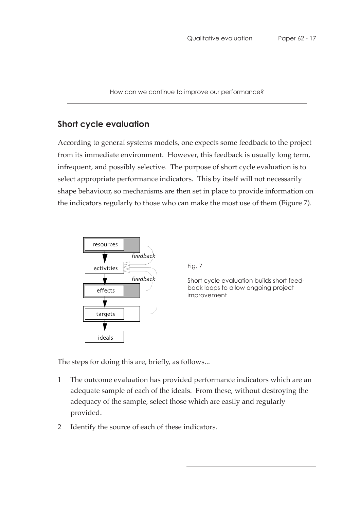How can we continue to improve our performance?

#### **Short cycle evaluation**

According to general systems models, one expects some feedback to the project from its immediate environment. However, this feedback is usually long term, infrequent, and possibly selective. The purpose of short cycle evaluation is to select appropriate performance indicators. This by itself will not necessarily shape behaviour, so mechanisms are then set in place to provide information on the indicators regularly to those who can make the most use of them (Figure 7).



Fig. 7

Short cycle evaluation builds short feedback loops to allow ongoing project improvement

The steps for doing this are, briefly, as follows...

- 1 The outcome evaluation has provided performance indicators which are an adequate sample of each of the ideals. From these, without destroying the adequacy of the sample, select those which are easily and regularly provided.
- 2 Identify the source of each of these indicators.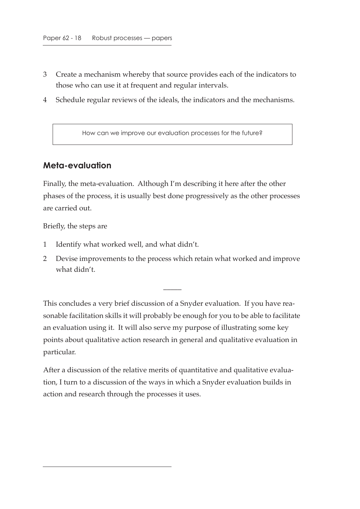- 3 Create a mechanism whereby that source provides each of the indicators to those who can use it at frequent and regular intervals.
- 4 Schedule regular reviews of the ideals, the indicators and the mechanisms.

How can we improve our evaluation processes for the future?

### **Meta-evaluation**

Finally, the meta-evaluation. Although I'm describing it here after the other phases of the process, it is usually best done progressively as the other processes are carried out.

Briefly, the steps are

- 1 Identify what worked well, and what didn't.
- 2 Devise improvements to the process which retain what worked and improve what didn't.

 $\overline{\phantom{a}}$ 

This concludes a very brief discussion of a Snyder evaluation. If you have reasonable facilitation skills it will probably be enough for you to be able to facilitate an evaluation using it. It will also serve my purpose of illustrating some key points about qualitative action research in general and qualitative evaluation in particular.

After a discussion of the relative merits of quantitative and qualitative evaluation, I turn to a discussion of the ways in which a Snyder evaluation builds in action and research through the processes it uses.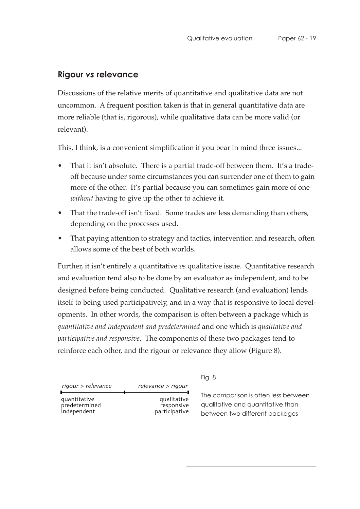### **Rigour** *vs* **relevance**

Discussions of the relative merits of quantitative and qualitative data are not uncommon. A frequent position taken is that in general quantitative data are more reliable (that is, rigorous), while qualitative data can be more valid (or relevant).

This, I think, is a convenient simplification if you bear in mind three issues...

- That it isn't absolute. There is a partial trade-off between them. It's a tradeoff because under some circumstances you can surrender one of them to gain more of the other. It's partial because you can sometimes gain more of one *without* having to give up the other to achieve it.
- That the trade-off isn't fixed. Some trades are less demanding than others, depending on the processes used.
- That paying attention to strategy and tactics, intervention and research, often allows some of the best of both worlds.

Further, it isn't entirely a quantitative *vs* qualitative issue. Quantitative research and evaluation tend also to be done by an evaluator as independent, and to be designed before being conducted. Qualitative research (and evaluation) lends itself to being used participatively, and in a way that is responsive to local developments. In other words, the comparison is often between a package which is *quantitative and independent and predetermined* and one which is *qualitative and participative and responsive*. The components of these two packages tend to reinforce each other, and the rigour or relevance they allow (Figure 8).

rigour > relevance relevance > rigour<br>|

quantitative predetermined independent

qualitative responsive participative Fig. 8

The comparison is often less between qualitative and quantitative than between two different packages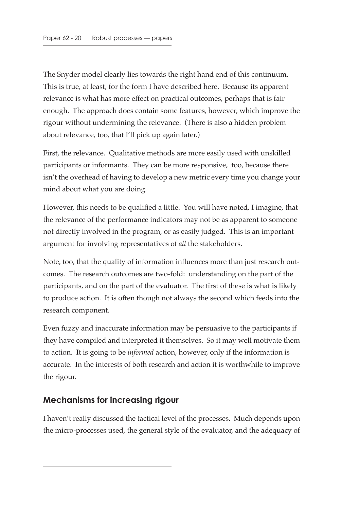The Snyder model clearly lies towards the right hand end of this continuum. This is true, at least, for the form I have described here. Because its apparent relevance is what has more effect on practical outcomes, perhaps that is fair enough. The approach does contain some features, however, which improve the rigour without undermining the relevance. (There is also a hidden problem about relevance, too, that I'll pick up again later.)

First, the relevance. Qualitative methods are more easily used with unskilled participants or informants. They can be more responsive, too, because there isn't the overhead of having to develop a new metric every time you change your mind about what you are doing.

However, this needs to be qualified a little. You will have noted, I imagine, that the relevance of the performance indicators may not be as apparent to someone not directly involved in the program, or as easily judged. This is an important argument for involving representatives of *all* the stakeholders.

Note, too, that the quality of information influences more than just research outcomes. The research outcomes are two-fold: understanding on the part of the participants, and on the part of the evaluator. The first of these is what is likely to produce action. It is often though not always the second which feeds into the research component.

Even fuzzy and inaccurate information may be persuasive to the participants if they have compiled and interpreted it themselves. So it may well motivate them to action. It is going to be *informed* action, however, only if the information is accurate. In the interests of both research and action it is worthwhile to improve the rigour.

### **Mechanisms for increasing rigour**

I haven't really discussed the tactical level of the processes. Much depends upon the micro-processes used, the general style of the evaluator, and the adequacy of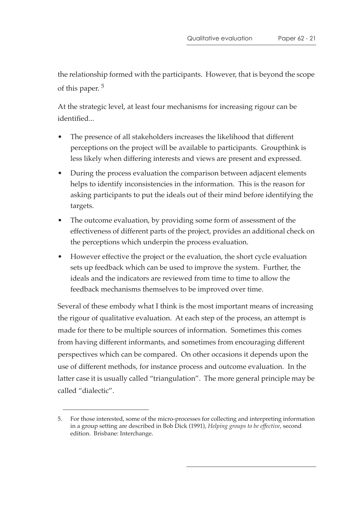the relationship formed with the participants. However, that is beyond the scope of this paper.<sup>5</sup>

At the strategic level, at least four mechanisms for increasing rigour can be identified...

- The presence of all stakeholders increases the likelihood that different perceptions on the project will be available to participants. Groupthink is less likely when differing interests and views are present and expressed.
- During the process evaluation the comparison between adjacent elements helps to identify inconsistencies in the information. This is the reason for asking participants to put the ideals out of their mind before identifying the targets.
- The outcome evaluation, by providing some form of assessment of the effectiveness of different parts of the project, provides an additional check on the perceptions which underpin the process evaluation.
- However effective the project or the evaluation, the short cycle evaluation sets up feedback which can be used to improve the system. Further, the ideals and the indicators are reviewed from time to time to allow the feedback mechanisms themselves to be improved over time.

Several of these embody what I think is the most important means of increasing the rigour of qualitative evaluation. At each step of the process, an attempt is made for there to be multiple sources of information. Sometimes this comes from having different informants, and sometimes from encouraging different perspectives which can be compared. On other occasions it depends upon the use of different methods, for instance process and outcome evaluation. In the latter case it is usually called "triangulation". The more general principle may be called "dialectic".

<sup>5.</sup> For those interested, some of the micro-processes for collecting and interpreting information in a group setting are described in Bob Dick (1991), *Helping groups to be effective*, second edition. Brisbane: Interchange.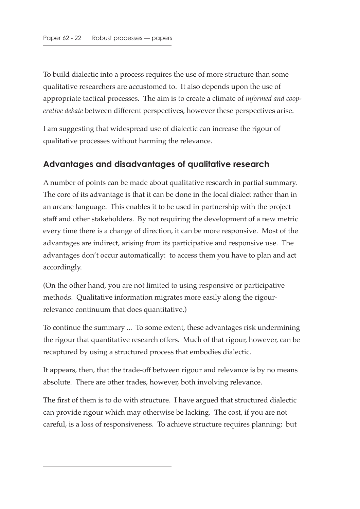To build dialectic into a process requires the use of more structure than some qualitative researchers are accustomed to. It also depends upon the use of appropriate tactical processes. The aim is to create a climate of *informed and cooperative debate* between different perspectives, however these perspectives arise.

I am suggesting that widespread use of dialectic can increase the rigour of qualitative processes without harming the relevance.

### **Advantages and disadvantages of qualitative research**

A number of points can be made about qualitative research in partial summary. The core of its advantage is that it can be done in the local dialect rather than in an arcane language. This enables it to be used in partnership with the project staff and other stakeholders. By not requiring the development of a new metric every time there is a change of direction, it can be more responsive. Most of the advantages are indirect, arising from its participative and responsive use. The advantages don't occur automatically: to access them you have to plan and act accordingly.

(On the other hand, you are not limited to using responsive or participative methods. Qualitative information migrates more easily along the rigourrelevance continuum that does quantitative.)

To continue the summary ... To some extent, these advantages risk undermining the rigour that quantitative research offers. Much of that rigour, however, can be recaptured by using a structured process that embodies dialectic.

It appears, then, that the trade-off between rigour and relevance is by no means absolute. There are other trades, however, both involving relevance.

The first of them is to do with structure. I have argued that structured dialectic can provide rigour which may otherwise be lacking. The cost, if you are not careful, is a loss of responsiveness. To achieve structure requires planning; but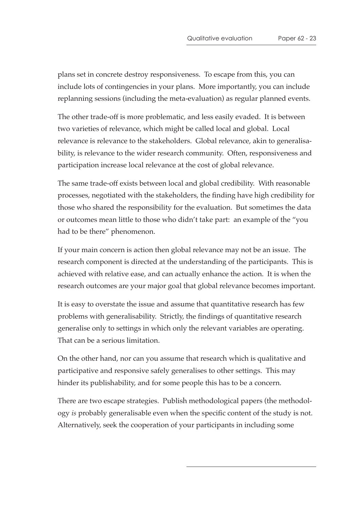plans set in concrete destroy responsiveness. To escape from this, you can include lots of contingencies in your plans. More importantly, you can include replanning sessions (including the meta-evaluation) as regular planned events.

The other trade-off is more problematic, and less easily evaded. It is between two varieties of relevance, which might be called local and global. Local relevance is relevance to the stakeholders. Global relevance, akin to generalisability, is relevance to the wider research community. Often, responsiveness and participation increase local relevance at the cost of global relevance.

The same trade-off exists between local and global credibility. With reasonable processes, negotiated with the stakeholders, the finding have high credibility for those who shared the responsibility for the evaluation. But sometimes the data or outcomes mean little to those who didn't take part: an example of the "you had to be there" phenomenon.

If your main concern is action then global relevance may not be an issue. The research component is directed at the understanding of the participants. This is achieved with relative ease, and can actually enhance the action. It is when the research outcomes are your major goal that global relevance becomes important.

It is easy to overstate the issue and assume that quantitative research has few problems with generalisability. Strictly, the findings of quantitative research generalise only to settings in which only the relevant variables are operating. That can be a serious limitation.

On the other hand, nor can you assume that research which is qualitative and participative and responsive safely generalises to other settings. This may hinder its publishability, and for some people this has to be a concern.

There are two escape strategies. Publish methodological papers (the methodology *is* probably generalisable even when the specific content of the study is not. Alternatively, seek the cooperation of your participants in including some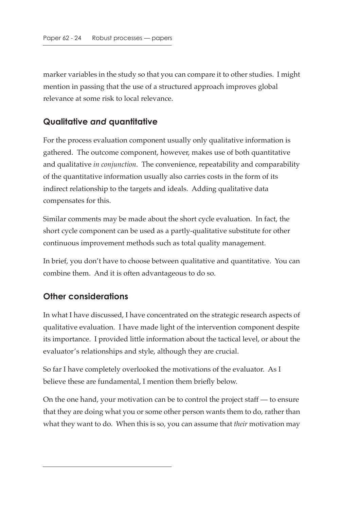marker variables in the study so that you can compare it to other studies. I might mention in passing that the use of a structured approach improves global relevance at some risk to local relevance.

### **Qualitative** *and* **quantitative**

For the process evaluation component usually only qualitative information is gathered. The outcome component, however, makes use of both quantitative and qualitative *in conjunction*. The convenience, repeatability and comparability of the quantitative information usually also carries costs in the form of its indirect relationship to the targets and ideals. Adding qualitative data compensates for this.

Similar comments may be made about the short cycle evaluation. In fact, the short cycle component can be used as a partly-qualitative substitute for other continuous improvement methods such as total quality management.

In brief, you don't have to choose between qualitative and quantitative. You can combine them. And it is often advantageous to do so.

### **Other considerations**

In what I have discussed, I have concentrated on the strategic research aspects of qualitative evaluation. I have made light of the intervention component despite its importance. I provided little information about the tactical level, or about the evaluator's relationships and style, although they are crucial.

So far I have completely overlooked the motivations of the evaluator. As I believe these are fundamental, I mention them briefly below.

On the one hand, your motivation can be to control the project staff — to ensure that they are doing what you or some other person wants them to do, rather than what they want to do. When this is so, you can assume that *their* motivation may